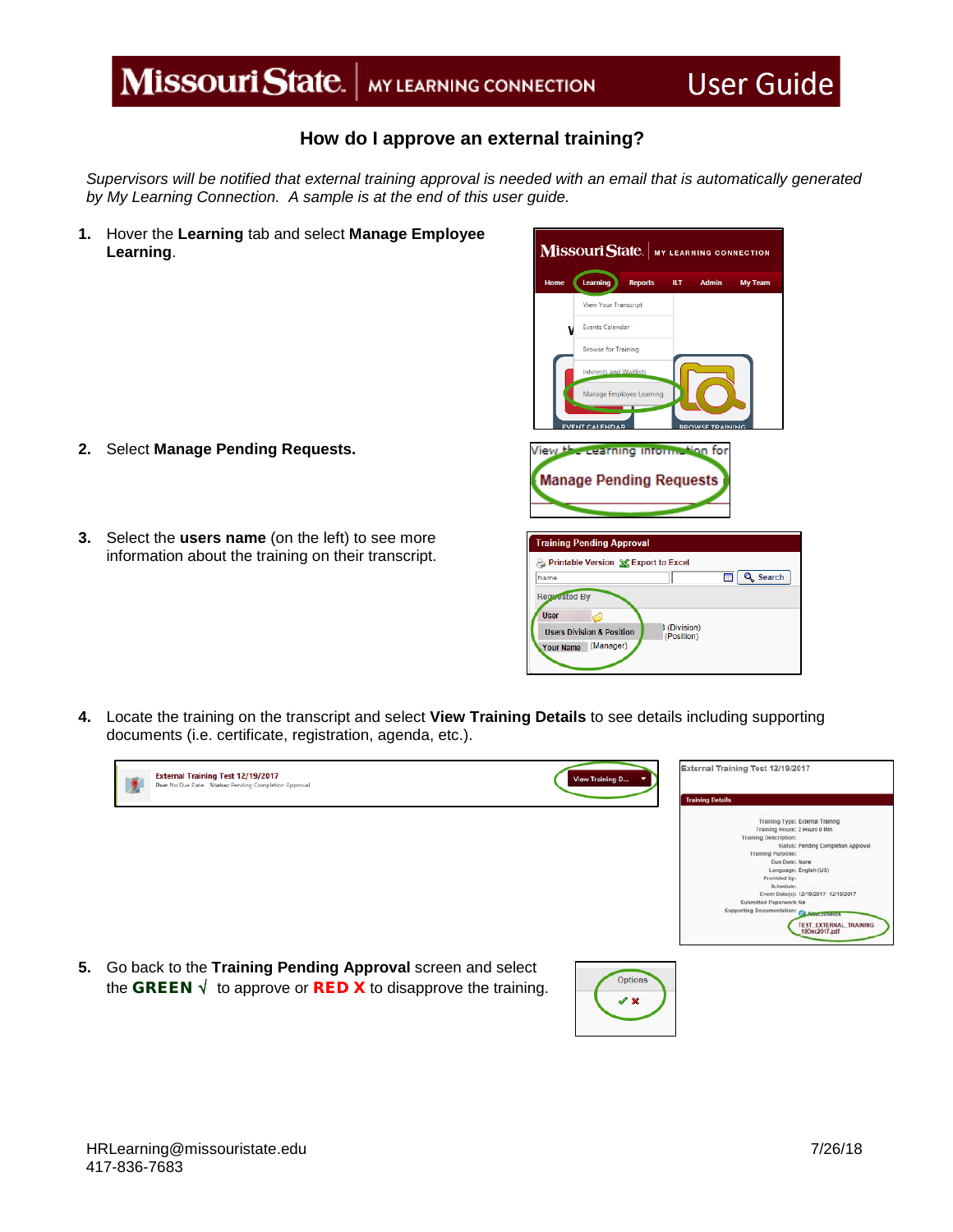## Missouri State. | MY LEARNING CONNECTION

## **How do I approve an external training?**

*Supervisors will be notified that external training approval is needed with an email that is automatically generated by My Learning Connection. A sample is at the end of this user guide.*

**1.** Hover the **Learning** tab and select **Manage Employee Learning**.

- **2.** Select **Manage Pending Requests.**
- **3.** Select the **users name** (on the left) to see more information about the training on their transcript.

| $\mathbf M$ İSSOUIT State.   MY LEARNING CONNECTION |                                      |                          |                          |                        |                 |  |
|-----------------------------------------------------|--------------------------------------|--------------------------|--------------------------|------------------------|-----------------|--|
| Home                                                | Learning                             | <b>Reports</b>           | ILТ                      | <b>Admin</b>           | <b>My Team</b>  |  |
|                                                     | <b>View Your Transcript</b>          |                          |                          |                        |                 |  |
|                                                     |                                      | <b>Events Calendar</b>   |                          |                        |                 |  |
|                                                     | <b>Browse for Training</b>           |                          |                          |                        |                 |  |
|                                                     | <b>Interests and Waitlists</b>       |                          |                          |                        |                 |  |
|                                                     |                                      | Manage Employee Learning |                          |                        |                 |  |
|                                                     | <b>VENT CALENDAR</b>                 |                          |                          | <b>RPOWSE TRAINING</b> |                 |  |
| View the cearning information for                   |                                      |                          |                          |                        |                 |  |
| <b>Manage Pending Requests</b>                      |                                      |                          |                          |                        |                 |  |
|                                                     |                                      |                          |                          |                        |                 |  |
|                                                     | <b>Training Pending Approval</b>     |                          |                          |                        |                 |  |
| Printable Version X Export to Excel                 |                                      |                          |                          |                        |                 |  |
| Name<br><b>Requested By</b>                         |                                      |                          |                          | п                      | <b>Q</b> Search |  |
| <b>User</b>                                         | d                                    |                          |                          |                        |                 |  |
|                                                     | <b>Users Division &amp; Position</b> |                          | (Division)<br>(Position) |                        |                 |  |
| <b>Your Name</b>                                    | (Manager)                            |                          |                          |                        |                 |  |

**4.** Locate the training on the transcript and select **View Training Details** to see details including supporting documents (i.e. certificate, registration, agenda, etc.).